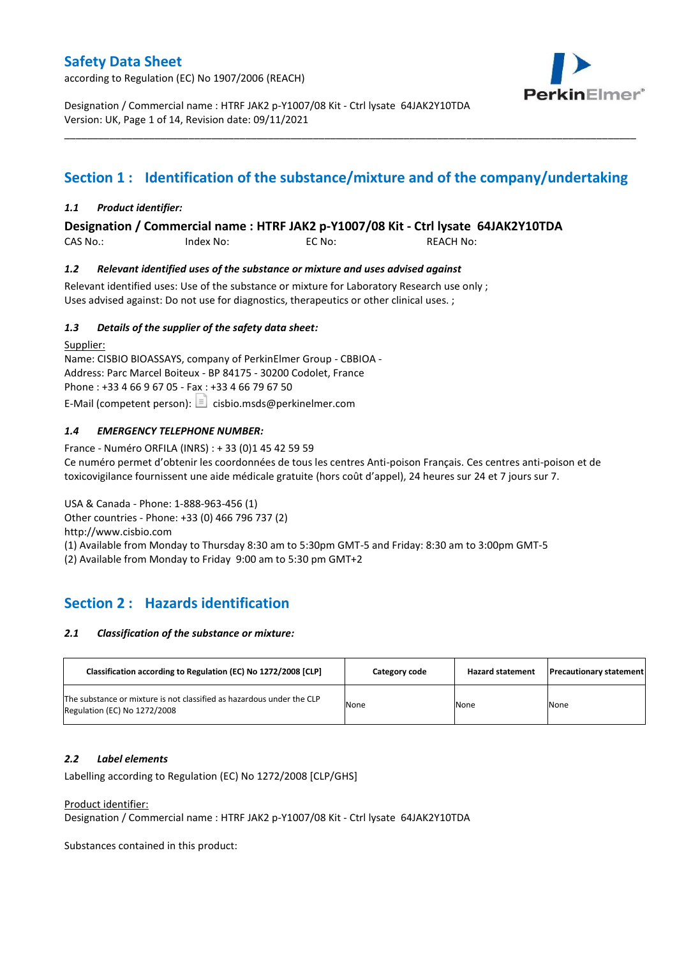according to Regulation (EC) No 1907/2006 (REACH)



Designation / Commercial name : HTRF JAK2 p-Y1007/08 Kit - Ctrl lysate 64JAK2Y10TDA Version: UK, Page 1 of 14, Revision date: 09/11/2021

# **Section 1 : Identification of the substance/mixture and of the company/undertaking**

\_\_\_\_\_\_\_\_\_\_\_\_\_\_\_\_\_\_\_\_\_\_\_\_\_\_\_\_\_\_\_\_\_\_\_\_\_\_\_\_\_\_\_\_\_\_\_\_\_\_\_\_\_\_\_\_\_\_\_\_\_\_\_\_\_\_\_\_\_\_\_\_\_\_\_\_\_\_\_\_\_\_\_\_\_\_\_\_\_\_\_\_\_\_\_\_\_\_\_\_\_

### *1.1 Product identifier:*

**Designation / Commercial name : HTRF JAK2 p-Y1007/08 Kit - Ctrl lysate 64JAK2Y10TDA** 

CAS No.: Index No: EC No: REACH No:

### *1.2 Relevant identified uses of the substance or mixture and uses advised against*

Relevant identified uses: Use of the substance or mixture for Laboratory Research use only ; Uses advised against: Do not use for diagnostics, therapeutics or other clinical uses. ;

### *1.3 Details of the supplier of the safety data sheet:*

Supplier: Name: CISBIO BIOASSAYS, company of PerkinElmer Group - CBBIOA - Address: Parc Marcel Boiteux - BP 84175 - 30200 Codolet, France Phone : +33 4 66 9 67 05 - Fax : +33 4 66 79 67 50 E-Mail (competent person):  $\Box$  cisbio.msds@perkinelmer.com

### *1.4 EMERGENCY TELEPHONE NUMBER:*

France - Numéro ORFILA (INRS) : + 33 (0)1 45 42 59 59 Ce numéro permet d'obtenir les coordonnées de tous les centres Anti-poison Français. Ces centres anti-poison et de toxicovigilance fournissent une aide médicale gratuite (hors coût d'appel), 24 heures sur 24 et 7 jours sur 7.

USA & Canada - Phone: 1-888-963-456 (1)

Other countries - Phone: +33 (0) 466 796 737 (2)

http://www.cisbio.com

(1) Available from Monday to Thursday 8:30 am to 5:30pm GMT-5 and Friday: 8:30 am to 3:00pm GMT-5

(2) Available from Monday to Friday 9:00 am to 5:30 pm GMT+2

# **Section 2 : Hazards identification**

### *2.1 Classification of the substance or mixture:*

| Classification according to Regulation (EC) No 1272/2008 [CLP]                                        | Category code | <b>Hazard statement</b> | <b>Precautionary statement</b> |
|-------------------------------------------------------------------------------------------------------|---------------|-------------------------|--------------------------------|
| The substance or mixture is not classified as hazardous under the CLP<br>Regulation (EC) No 1272/2008 | None          | None                    | None                           |

### *2.2 Label elements*

Labelling according to Regulation (EC) No 1272/2008 [CLP/GHS]

### Product identifier:

Designation / Commercial name : HTRF JAK2 p-Y1007/08 Kit - Ctrl lysate 64JAK2Y10TDA

Substances contained in this product: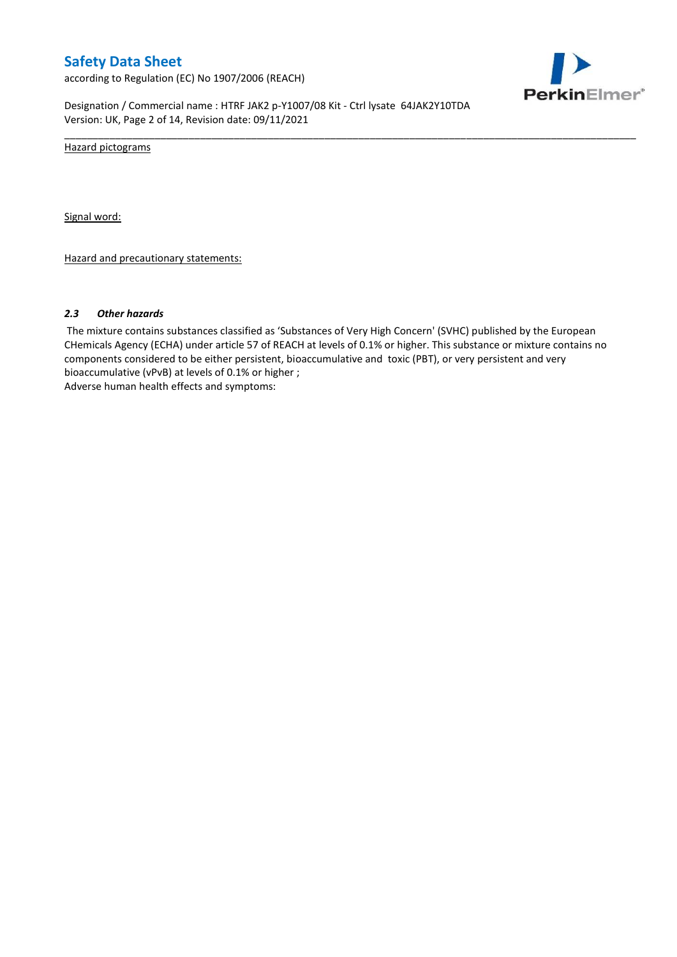according to Regulation (EC) No 1907/2006 (REACH)



Designation / Commercial name : HTRF JAK2 p-Y1007/08 Kit - Ctrl lysate 64JAK2Y10TDA Version: UK, Page 2 of 14, Revision date: 09/11/2021

Hazard pictograms

Signal word:

Hazard and precautionary statements:

#### *2.3 Other hazards*

The mixture contains substances classified as 'Substances of Very High Concern' (SVHC) published by the European CHemicals Agency (ECHA) under article 57 of REACH at levels of 0.1% or higher. This substance or mixture contains no components considered to be either persistent, bioaccumulative and toxic (PBT), or very persistent and very bioaccumulative (vPvB) at levels of 0.1% or higher ; Adverse human health effects and symptoms:

\_\_\_\_\_\_\_\_\_\_\_\_\_\_\_\_\_\_\_\_\_\_\_\_\_\_\_\_\_\_\_\_\_\_\_\_\_\_\_\_\_\_\_\_\_\_\_\_\_\_\_\_\_\_\_\_\_\_\_\_\_\_\_\_\_\_\_\_\_\_\_\_\_\_\_\_\_\_\_\_\_\_\_\_\_\_\_\_\_\_\_\_\_\_\_\_\_\_\_\_\_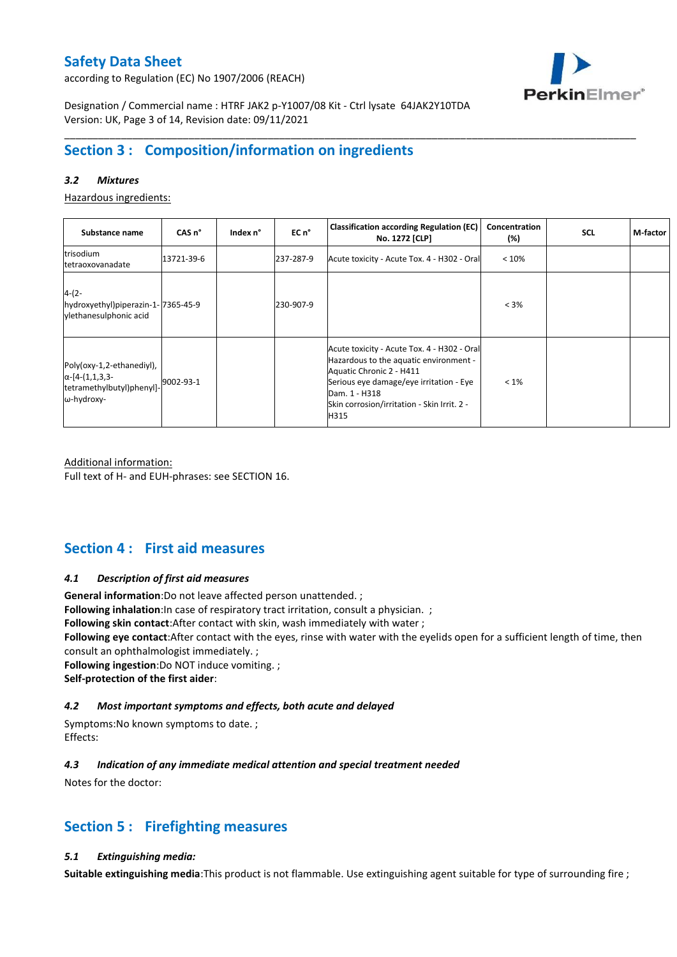according to Regulation (EC) No 1907/2006 (REACH)



Designation / Commercial name : HTRF JAK2 p-Y1007/08 Kit - Ctrl lysate 64JAK2Y10TDA Version: UK, Page 3 of 14, Revision date: 09/11/2021

# **Section 3 : Composition/information on ingredients**

### *3.2 Mixtures*

Hazardous ingredients:

| Substance name                                                                                 | CAS <sub>n</sub> ° | Index n° | EC n <sup>o</sup> | <b>Classification according Regulation (EC)</b><br>No. 1272 [CLP]                                                                                                                                                                    | Concentration<br>$(\%)$ | <b>SCL</b> | M-factor |
|------------------------------------------------------------------------------------------------|--------------------|----------|-------------------|--------------------------------------------------------------------------------------------------------------------------------------------------------------------------------------------------------------------------------------|-------------------------|------------|----------|
| trisodium<br>tetraoxovanadate                                                                  | 13721-39-6         |          | 237-287-9         | Acute toxicity - Acute Tox. 4 - H302 - Oral                                                                                                                                                                                          | < 10%                   |            |          |
| $4-(2-$<br>hydroxyethyl)piperazin-1-7365-45-9<br>vlethanesulphonic acid                        |                    |          | 230-907-9         |                                                                                                                                                                                                                                      | $< 3\%$                 |            |          |
| Poly(oxy-1,2-ethanediyl),<br>$\alpha$ -[4-(1,1,3,3-<br>tetramethylbutyl)phenyl]-<br>ω-hydroxy- | 9002-93-1          |          |                   | Acute toxicity - Acute Tox. 4 - H302 - Oral<br>Hazardous to the aquatic environment -<br>Aquatic Chronic 2 - H411<br>Serious eye damage/eye irritation - Eye<br>Dam. 1 - H318<br>Skin corrosion/irritation - Skin Irrit. 2 -<br>H315 | $< 1\%$                 |            |          |

\_\_\_\_\_\_\_\_\_\_\_\_\_\_\_\_\_\_\_\_\_\_\_\_\_\_\_\_\_\_\_\_\_\_\_\_\_\_\_\_\_\_\_\_\_\_\_\_\_\_\_\_\_\_\_\_\_\_\_\_\_\_\_\_\_\_\_\_\_\_\_\_\_\_\_\_\_\_\_\_\_\_\_\_\_\_\_\_\_\_\_\_\_\_\_\_\_\_\_\_\_

Additional information: Full text of H- and EUH-phrases: see SECTION 16.

# **Section 4 : First aid measures**

### *4.1 Description of first aid measures*

**General information**:Do not leave affected person unattended. ;

**Following inhalation**:In case of respiratory tract irritation, consult a physician. ;

**Following skin contact**:After contact with skin, wash immediately with water ;

**Following eye contact**:After contact with the eyes, rinse with water with the eyelids open for a sufficient length of time, then consult an ophthalmologist immediately. ;

**Following ingestion**:Do NOT induce vomiting. ; **Self-protection of the first aider**:

### *4.2 Most important symptoms and effects, both acute and delayed*

Symptoms:No known symptoms to date. ; Effects:

### *4.3 Indication of any immediate medical attention and special treatment needed*

Notes for the doctor:

# **Section 5 : Firefighting measures**

### *5.1 Extinguishing media:*

**Suitable extinguishing media**:This product is not flammable. Use extinguishing agent suitable for type of surrounding fire ;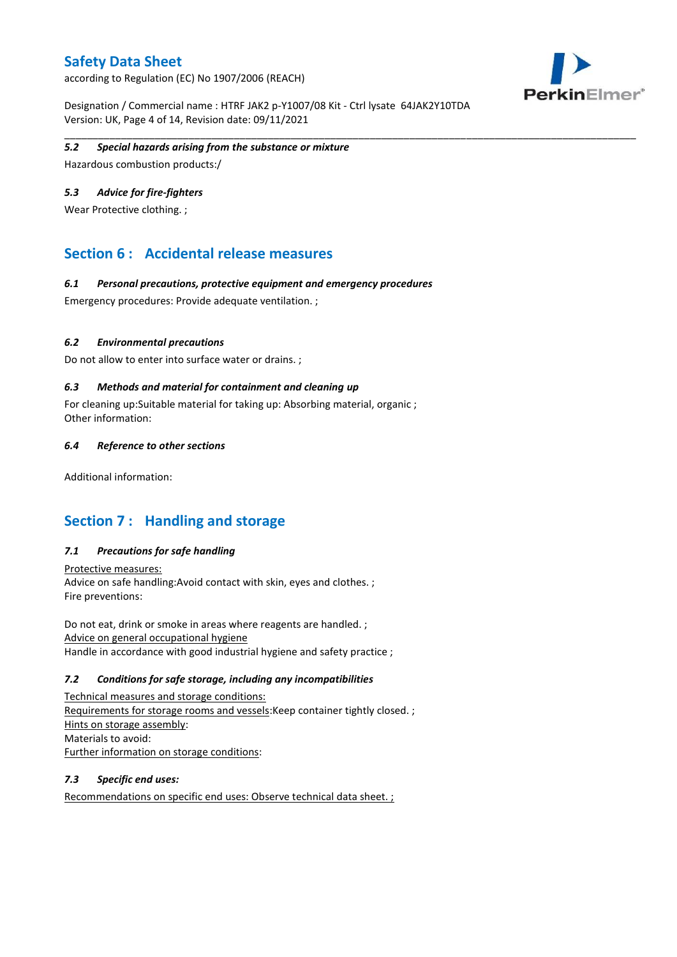according to Regulation (EC) No 1907/2006 (REACH)





#### \_\_\_\_\_\_\_\_\_\_\_\_\_\_\_\_\_\_\_\_\_\_\_\_\_\_\_\_\_\_\_\_\_\_\_\_\_\_\_\_\_\_\_\_\_\_\_\_\_\_\_\_\_\_\_\_\_\_\_\_\_\_\_\_\_\_\_\_\_\_\_\_\_\_\_\_\_\_\_\_\_\_\_\_\_\_\_\_\_\_\_\_\_\_\_\_\_\_\_\_\_ *5.2 Special hazards arising from the substance or mixture*

Hazardous combustion products:/

### *5.3 Advice for fire-fighters*

Wear Protective clothing. ;

### **Section 6 : Accidental release measures**

#### *6.1 Personal precautions, protective equipment and emergency procedures*

Emergency procedures: Provide adequate ventilation. ;

### *6.2 Environmental precautions*

Do not allow to enter into surface water or drains. ;

### *6.3 Methods and material for containment and cleaning up*

For cleaning up:Suitable material for taking up: Absorbing material, organic ; Other information:

#### *6.4 Reference to other sections*

Additional information:

### **Section 7 : Handling and storage**

### *7.1 Precautions for safe handling*

Protective measures: Advice on safe handling:Avoid contact with skin, eyes and clothes. ; Fire preventions:

Do not eat, drink or smoke in areas where reagents are handled. ; Advice on general occupational hygiene Handle in accordance with good industrial hygiene and safety practice ;

### *7.2 Conditions for safe storage, including any incompatibilities*

Technical measures and storage conditions: Requirements for storage rooms and vessels:Keep container tightly closed. ; Hints on storage assembly: Materials to avoid: Further information on storage conditions:

### *7.3 Specific end uses:*

Recommendations on specific end uses: Observe technical data sheet. ;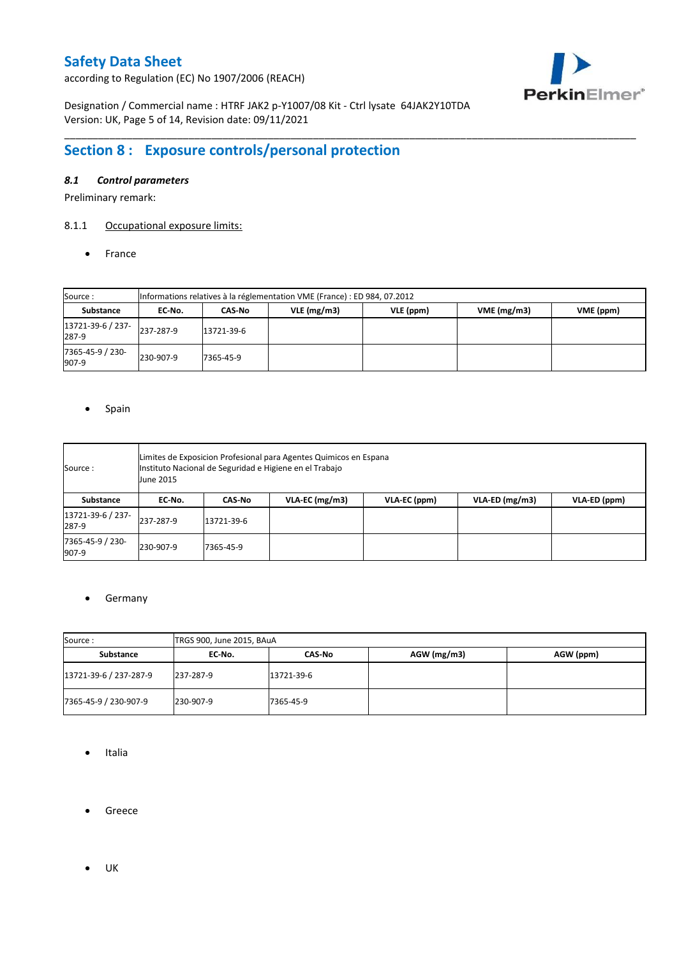according to Regulation (EC) No 1907/2006 (REACH)



Designation / Commercial name : HTRF JAK2 p-Y1007/08 Kit - Ctrl lysate 64JAK2Y10TDA Version: UK, Page 5 of 14, Revision date: 09/11/2021

# **Section 8 : Exposure controls/personal protection**

### *8.1 Control parameters*

Preliminary remark:

### 8.1.1 Occupational exposure limits:

• France

| Source:                    |           | Informations relatives à la réglementation VME (France) : ED 984, 07.2012 |            |           |            |           |  |  |  |  |  |  |  |
|----------------------------|-----------|---------------------------------------------------------------------------|------------|-----------|------------|-----------|--|--|--|--|--|--|--|
| Substance                  | EC No.    | CAS No                                                                    | VLE(mg/m3) | VLE (ppm) | VME(mg/m3) | VME (ppm) |  |  |  |  |  |  |  |
| 13721-39-6 / 237-<br>287-9 | 237-287-9 | 13721-39-6                                                                |            |           |            |           |  |  |  |  |  |  |  |
| 7365-45-9 / 230-<br>907-9  | 230-907-9 | 7365-45-9                                                                 |            |           |            |           |  |  |  |  |  |  |  |

\_\_\_\_\_\_\_\_\_\_\_\_\_\_\_\_\_\_\_\_\_\_\_\_\_\_\_\_\_\_\_\_\_\_\_\_\_\_\_\_\_\_\_\_\_\_\_\_\_\_\_\_\_\_\_\_\_\_\_\_\_\_\_\_\_\_\_\_\_\_\_\_\_\_\_\_\_\_\_\_\_\_\_\_\_\_\_\_\_\_\_\_\_\_\_\_\_\_\_\_\_

### • Spain

| Source :                   | June 2015 | Limites de Exposicion Profesional para Agentes Quimicos en Espana<br>Instituto Nacional de Seguridad e Higiene en el Trabajo |  |  |  |  |  |  |  |  |  |  |  |  |
|----------------------------|-----------|------------------------------------------------------------------------------------------------------------------------------|--|--|--|--|--|--|--|--|--|--|--|--|
| Substance                  | EC-No.    | $VLA$ -EC (mg/m3)<br>VLA-ED (mg/m3)<br>VLA-ED (ppm)<br>VLA-EC (ppm)<br>CAS-No                                                |  |  |  |  |  |  |  |  |  |  |  |  |
| 13721-39-6 / 237-<br>287-9 | 237-287-9 | 13721-39-6                                                                                                                   |  |  |  |  |  |  |  |  |  |  |  |  |
| 7365-45-9 / 230-<br>907-9  | 230-907-9 | 7365-45-9                                                                                                                    |  |  |  |  |  |  |  |  |  |  |  |  |

### **•** Germany

| Source:                | TRGS 900, June 2015, BAuA |            |               |           |  |  |  |  |  |
|------------------------|---------------------------|------------|---------------|-----------|--|--|--|--|--|
| Substance              | EC No.                    | CAS-No     | $AGW$ (mg/m3) | AGW (ppm) |  |  |  |  |  |
| 13721-39-6 / 237-287-9 | 237-287-9                 | 13721-39-6 |               |           |  |  |  |  |  |
| 7365-45-9 / 230-907-9  | 230-907-9                 | 7365-45-9  |               |           |  |  |  |  |  |

- Italia
- **•** Greece
- $\bullet$  UK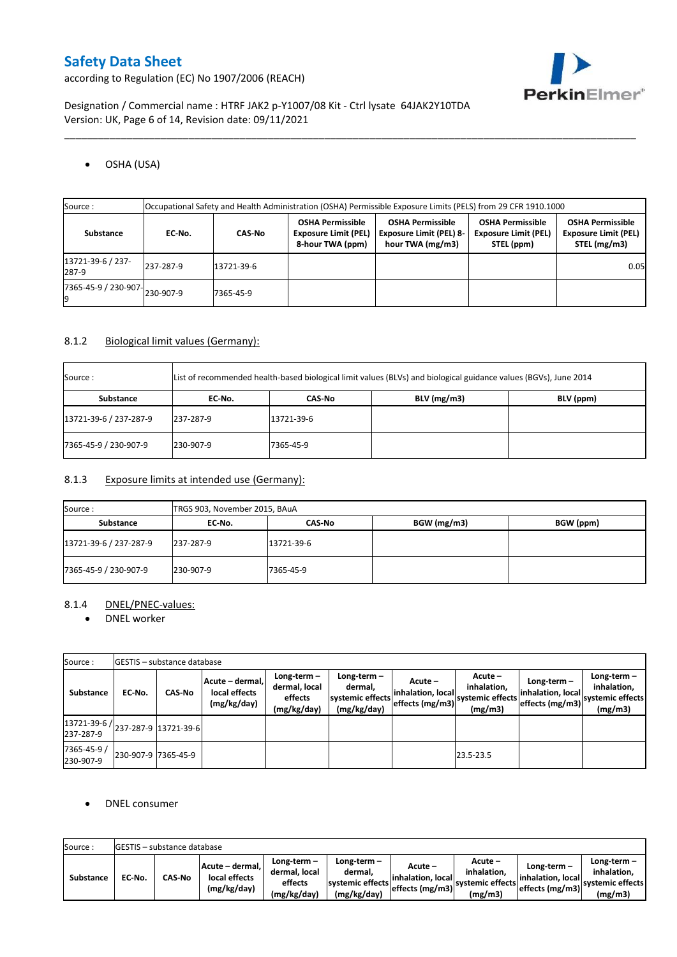PerkinElmer®

according to Regulation (EC) No 1907/2006 (REACH)

Designation / Commercial name : HTRF JAK2 p-Y1007/08 Kit - Ctrl lysate 64JAK2Y10TDA Version: UK, Page 6 of 14, Revision date: 09/11/2021

### OSHA (USA)

| Source :                      | Occupational Safety and Health Administration (OSHA) Permissible Exposure Limits (PELS) from 29 CFR 1910.1000 |               |                                                                            |                                                                               |                                                                      |                                                                        |  |  |  |  |
|-------------------------------|---------------------------------------------------------------------------------------------------------------|---------------|----------------------------------------------------------------------------|-------------------------------------------------------------------------------|----------------------------------------------------------------------|------------------------------------------------------------------------|--|--|--|--|
| Substance                     | EC-No.                                                                                                        | <b>CAS No</b> | <b>OSHA Permissible</b><br><b>Exposure Limit (PEL)</b><br>8-hour TWA (ppm) | <b>OSHA Permissible</b><br><b>Exposure Limit (PEL) 8-</b><br>hour TWA (mg/m3) | <b>OSHA Permissible</b><br><b>Exposure Limit (PEL)</b><br>STEL (ppm) | <b>OSHA Permissible</b><br><b>Exposure Limit (PEL)</b><br>STEL (mg/m3) |  |  |  |  |
| 13721-39-6 / 237-<br>287-9    | 237-287-9                                                                                                     | 13721-39-6    |                                                                            |                                                                               |                                                                      | 0.05                                                                   |  |  |  |  |
| 7365-45-9 / 230-907-230-907-9 |                                                                                                               | 7365-45-9     |                                                                            |                                                                               |                                                                      |                                                                        |  |  |  |  |

\_\_\_\_\_\_\_\_\_\_\_\_\_\_\_\_\_\_\_\_\_\_\_\_\_\_\_\_\_\_\_\_\_\_\_\_\_\_\_\_\_\_\_\_\_\_\_\_\_\_\_\_\_\_\_\_\_\_\_\_\_\_\_\_\_\_\_\_\_\_\_\_\_\_\_\_\_\_\_\_\_\_\_\_\_\_\_\_\_\_\_\_\_\_\_\_\_\_\_\_\_

### 8.1.2 Biological limit values (Germany):

| Source:                |           |            | List of recommended health-based biological limit values (BLVs) and biological guidance values (BGVs), June 2014 |           |
|------------------------|-----------|------------|------------------------------------------------------------------------------------------------------------------|-----------|
| Substance              | EC No.    | CAS No     | $BLV$ (mg/m3)                                                                                                    | BLV (ppm) |
| 13721-39-6 / 237-287-9 | 237-287-9 | 13721-39-6 |                                                                                                                  |           |
| 7365-45-9 / 230-907-9  | 230-907-9 | 7365-45-9  |                                                                                                                  |           |

### 8.1.3 Exposure limits at intended use (Germany):

| Source:                | TRGS 903, November 2015, BAuA |            |             |           |  |  |  |  |  |  |
|------------------------|-------------------------------|------------|-------------|-----------|--|--|--|--|--|--|
| Substance              | EC-No.                        | CAS No     | BGW (mg/m3) | BGW (ppm) |  |  |  |  |  |  |
| 13721-39-6 / 237-287-9 | 237-287-9                     | 13721-39-6 |             |           |  |  |  |  |  |  |
| 7365-45-9 / 230-907-9  | 230-907-9                     | 7365-45-9  |             |           |  |  |  |  |  |  |

### 8.1.4 DNEL/PNEC-values:

• DNEL worker

| Source:                                              |                     | <b>GESTIS</b> - substance database |                                                 |                                                       |                                                           |                                                 |                                                         |                                                       |                                                              |
|------------------------------------------------------|---------------------|------------------------------------|-------------------------------------------------|-------------------------------------------------------|-----------------------------------------------------------|-------------------------------------------------|---------------------------------------------------------|-------------------------------------------------------|--------------------------------------------------------------|
| Substance                                            | EC-No.              | <b>CAS-No</b>                      | Acute – dermal,<br>local effects<br>(mg/kg/day) | Long-term-<br>dermal, local<br>effects<br>(mg/kg/day) | Long-term -<br>dermal.<br>systemic effects<br>(mg/kg/day) | Acute –<br>inhalation, local<br>effects (mg/m3) | $Acute -$<br>inhalation,<br>systemic effects<br>(mg/m3) | Long-term $-$<br>inhalation, local<br>effects (mg/m3) | Long-term $-$<br>inhalation,<br>'systemic effects<br>(mg/m3) |
| $ 13721-39-6 $ $ 237-287-9 13721-39-6 $<br>237-287-9 |                     |                                    |                                                 |                                                       |                                                           |                                                 |                                                         |                                                       |                                                              |
| 7365-45-9 /<br>230-907-9                             | 230-907-9 7365-45-9 |                                    |                                                 |                                                       |                                                           |                                                 | 23.5-23.5                                               |                                                       |                                                              |

### DNEL consumer

| Source:          | <b>IGESTIS - substance database</b> |               |                                                   |                                                          |                                                             |                                |                                                                                      |                                                      |                                                          |  |  |  |
|------------------|-------------------------------------|---------------|---------------------------------------------------|----------------------------------------------------------|-------------------------------------------------------------|--------------------------------|--------------------------------------------------------------------------------------|------------------------------------------------------|----------------------------------------------------------|--|--|--|
| <b>Substance</b> | EC-No.                              | <b>CAS-No</b> | Acute – dermal.  <br>local effects<br>(mg/kg/day) | $Lone-term -$<br>dermal. local<br>effects<br>(mg/kg/day) | $Long-term -$<br>dermal,<br>systemic effects<br>(mg/kg/day) | Acute –<br>linhalation. locall | Acute -<br>inhalation.<br>----- effects (mg/m3) systemic effects   ______<br>(mg/m3) | Long-term –<br>linhalation. local<br>effects (mg/m3) | Long-term-<br>inhalation.<br>systemic effects<br>(mg/m3) |  |  |  |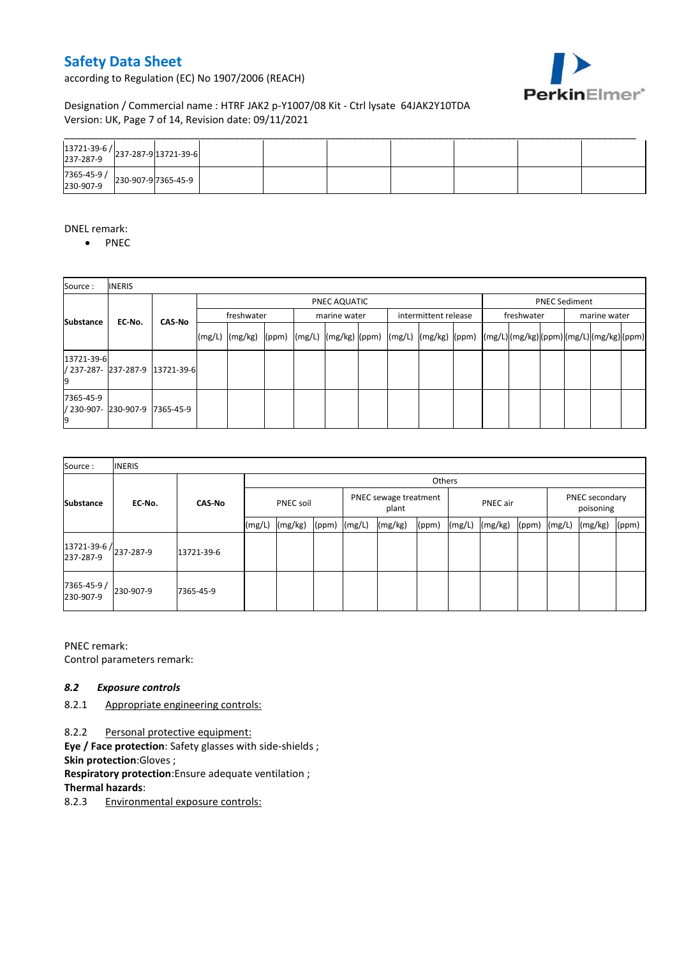according to Regulation (EC) No 1907/2006 (REACH)



### Designation / Commercial name : HTRF JAK2 p-Y1007/08 Kit - Ctrl lysate 64JAK2Y10TDA Version: UK, Page 7 of 14, Revision date: 09/11/2021

| $\begin{array}{ c c c c }\n 13721-39-6 & 237-287-9 & 13721-39-6 & 237-287-9 & 237-287-9 & 237-287-9 & 237-287-9 & 237-287-9 & 237-287-9 & 237-287-9 & 237-287-9 & 237-287-9 & 237-287-9 & 237-287-9 & 237-287-9 & 237-287-9 & 237-287-9 & 237-287-9 & 237$ |  |  |  |  |  |
|------------------------------------------------------------------------------------------------------------------------------------------------------------------------------------------------------------------------------------------------------------|--|--|--|--|--|
| 7365-45-9 / 230-907-9 7365-45-9                                                                                                                                                                                                                            |  |  |  |  |  |

### DNEL remark:

• PNEC

| Source:                           | <b>INERIS</b> |                                 |        |                 |  |              |                                      |  |                                                                                                                                                                                                                                      |  |              |                      |  |  |
|-----------------------------------|---------------|---------------------------------|--------|-----------------|--|--------------|--------------------------------------|--|--------------------------------------------------------------------------------------------------------------------------------------------------------------------------------------------------------------------------------------|--|--------------|----------------------|--|--|
|                                   |               |                                 |        |                 |  | PNEC AQUATIC |                                      |  |                                                                                                                                                                                                                                      |  |              | <b>PNEC Sediment</b> |  |  |
| <b>Substance</b>                  | EC-No.        | <b>CAS-No</b>                   |        | freshwater      |  |              | intermittent release<br>marine water |  | freshwater                                                                                                                                                                                                                           |  | marine water |                      |  |  |
|                                   |               |                                 | (mg/L) | $(mg/kg)$ (ppm) |  |              |                                      |  | $\left  \frac{m g}{L} \right  \frac{m g}{k g}$ $\left  \frac{m g}{L} \right  \frac{m g}{L}$ $\left  \frac{m g}{k g} \right  \frac{m g}{L}$ $\left  \frac{m g}{L} \right  \frac{m g}{L}$ $\left  \frac{m g}{L} \right  \frac{m g}{L}$ |  |              |                      |  |  |
| 13721-39-6                        |               | / 237-287- 237-287-9 13721-39-6 |        |                 |  |              |                                      |  |                                                                                                                                                                                                                                      |  |              |                      |  |  |
| 7365-45-9<br>/ 230-907- 230-907-9 |               | 7365-45-9                       |        |                 |  |              |                                      |  |                                                                                                                                                                                                                                      |  |              |                      |  |  |

| Source:                             | <b>INERIS</b> |               |                  |         |                                |        |          |       |        |                             |       |        |         |       |
|-------------------------------------|---------------|---------------|------------------|---------|--------------------------------|--------|----------|-------|--------|-----------------------------|-------|--------|---------|-------|
|                                     |               | <b>CAS-No</b> |                  | Others  |                                |        |          |       |        |                             |       |        |         |       |
| <b>Substance</b>                    | EC-No.        |               | <b>PNEC soil</b> |         | PNEC sewage treatment<br>plant |        | PNEC air |       |        | PNEC secondary<br>poisoning |       |        |         |       |
|                                     |               |               | (mg/L)           | (mg/kg) | (ppm)                          | (mg/L) | (mg/kg)  | (ppm) | (mg/L) | (mg/kg)                     | (ppm) | (mg/L) | (mg/kg) | (ppm) |
| 13721-39-6 / 237-287-9<br>237-287-9 |               | 13721-39-6    |                  |         |                                |        |          |       |        |                             |       |        |         |       |
| 7365-45-9 /<br>230-907-9            | 230-907-9     | 7365-45-9     |                  |         |                                |        |          |       |        |                             |       |        |         |       |

PNEC remark:

Control parameters remark:

### *8.2 Exposure controls*

8.2.1 Appropriate engineering controls:

8.2.2 Personal protective equipment:

**Eye / Face protection**: Safety glasses with side-shields ;

**Skin protection**:Gloves ;

**Respiratory protection**:Ensure adequate ventilation ;

### **Thermal hazards**:

8.2.3 Environmental exposure controls: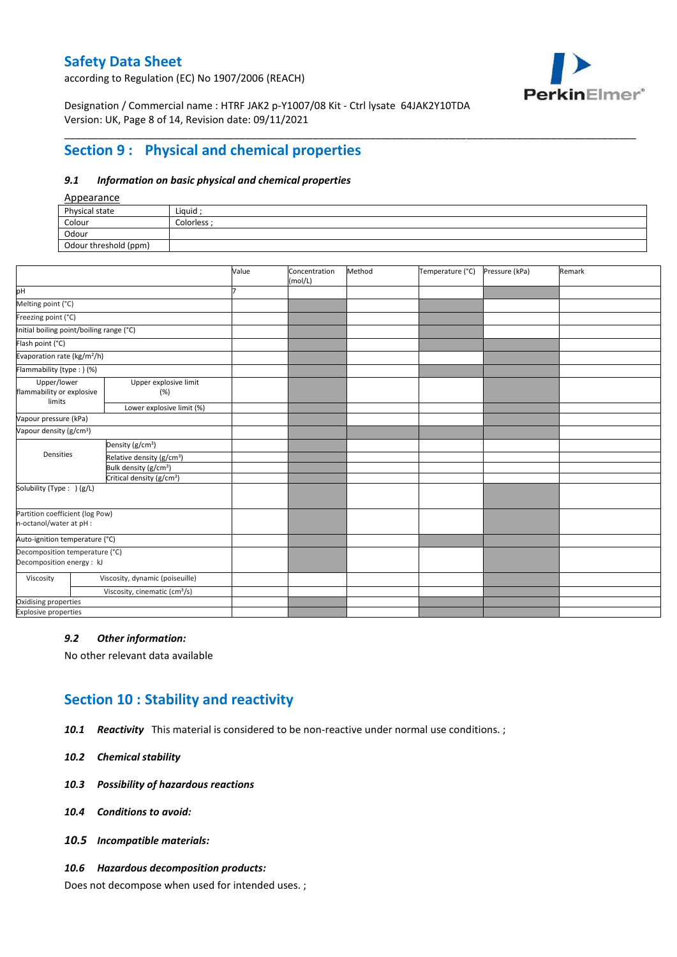according to Regulation (EC) No 1907/2006 (REACH)



Designation / Commercial name : HTRF JAK2 p-Y1007/08 Kit - Ctrl lysate 64JAK2Y10TDA Version: UK, Page 8 of 14, Revision date: 09/11/2021

# **Section 9 : Physical and chemical properties**

#### *9.1 Information on basic physical and chemical properties*

### Appearance

| $\frac{1}{2}$         |             |
|-----------------------|-------------|
| Physical state        | Liauid      |
| Colour                | Colorless : |
| Odour                 |             |
| Odour threshold (ppm) |             |
|                       |             |

\_\_\_\_\_\_\_\_\_\_\_\_\_\_\_\_\_\_\_\_\_\_\_\_\_\_\_\_\_\_\_\_\_\_\_\_\_\_\_\_\_\_\_\_\_\_\_\_\_\_\_\_\_\_\_\_\_\_\_\_\_\_\_\_\_\_\_\_\_\_\_\_\_\_\_\_\_\_\_\_\_\_\_\_\_\_\_\_\_\_\_\_\_\_\_\_\_\_\_\_\_

|                                                             |                                           | Value | Concentration<br>(mol/L) | Method | Temperature (°C) | Pressure (kPa) | Remark |
|-------------------------------------------------------------|-------------------------------------------|-------|--------------------------|--------|------------------|----------------|--------|
| pH                                                          |                                           |       |                          |        |                  |                |        |
| Melting point (°C)                                          |                                           |       |                          |        |                  |                |        |
| Freezing point (°C)                                         |                                           |       |                          |        |                  |                |        |
| Initial boiling point/boiling range (°C)                    |                                           |       |                          |        |                  |                |        |
| Flash point (°C)                                            |                                           |       |                          |        |                  |                |        |
| Evaporation rate (kg/m <sup>2</sup> /h)                     |                                           |       |                          |        |                  |                |        |
| Flammability (type : ) (%)                                  |                                           |       |                          |        |                  |                |        |
| Upper/lower<br>flammability or explosive<br>limits          | Upper explosive limit<br>(%)              |       |                          |        |                  |                |        |
|                                                             | Lower explosive limit (%)                 |       |                          |        |                  |                |        |
| Vapour pressure (kPa)                                       |                                           |       |                          |        |                  |                |        |
| Vapour density (g/cm <sup>3</sup> )                         |                                           |       |                          |        |                  |                |        |
|                                                             | Density (g/cm <sup>3</sup> )              |       |                          |        |                  |                |        |
| Densities                                                   | Relative density (g/cm <sup>3</sup> )     |       |                          |        |                  |                |        |
|                                                             | Bulk density (g/cm <sup>3</sup> )         |       |                          |        |                  |                |        |
|                                                             | Critical density (g/cm <sup>3</sup> )     |       |                          |        |                  |                |        |
| Solubility (Type: ) (g/L)                                   |                                           |       |                          |        |                  |                |        |
| Partition coefficient (log Pow)<br>n-octanol/water at pH :  |                                           |       |                          |        |                  |                |        |
| Auto-ignition temperature (°C)                              |                                           |       |                          |        |                  |                |        |
| Decomposition temperature (°C)<br>Decomposition energy : kJ |                                           |       |                          |        |                  |                |        |
| Viscosity                                                   | Viscosity, dynamic (poiseuille)           |       |                          |        |                  |                |        |
|                                                             | Viscosity, cinematic (cm <sup>3</sup> /s) |       |                          |        |                  |                |        |
| Oxidising properties                                        |                                           |       |                          |        |                  |                |        |
| <b>Explosive properties</b>                                 |                                           |       |                          |        |                  |                |        |

#### *9.2 Other information:*

No other relevant data available

### **Section 10 : Stability and reactivity**

- *10.1 Reactivity* This material is considered to be non-reactive under normal use conditions. ;
- *10.2 Chemical stability*
- *10.3 Possibility of hazardous reactions*
- *10.4 Conditions to avoid:*
- *10.5 Incompatible materials:*
- *10.6 Hazardous decomposition products:*

Does not decompose when used for intended uses. ;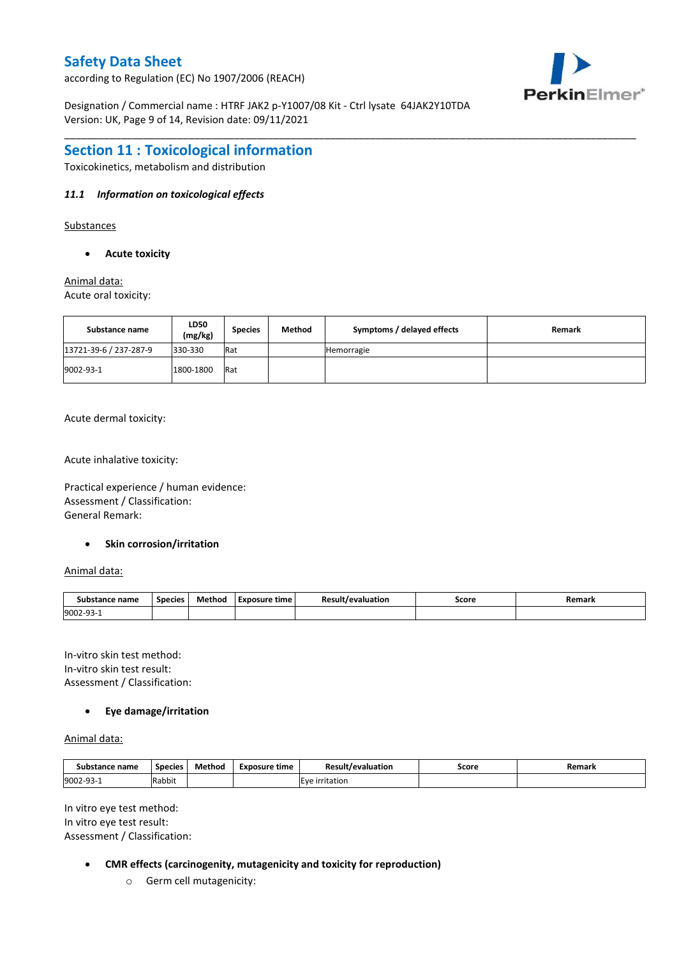according to Regulation (EC) No 1907/2006 (REACH)

Designation / Commercial name : HTRF JAK2 p-Y1007/08 Kit - Ctrl lysate 64JAK2Y10TDA Version: UK, Page 9 of 14, Revision date: 09/11/2021



### **Section 11 : Toxicological information**

Toxicokinetics, metabolism and distribution

### *11.1 Information on toxicological effects*

Substances

**Acute toxicity**

Animal data: Acute oral toxicity:

| Substance name         | LD50<br>(mg/kg) | <b>Species</b> | Method | Symptoms / delayed effects | Remark |
|------------------------|-----------------|----------------|--------|----------------------------|--------|
| 13721-39-6 / 237-287-9 | 330-330         | Rat            |        | Hemorragie                 |        |
| 9002-93-1              | 1800-1800       | Rat            |        |                            |        |

\_\_\_\_\_\_\_\_\_\_\_\_\_\_\_\_\_\_\_\_\_\_\_\_\_\_\_\_\_\_\_\_\_\_\_\_\_\_\_\_\_\_\_\_\_\_\_\_\_\_\_\_\_\_\_\_\_\_\_\_\_\_\_\_\_\_\_\_\_\_\_\_\_\_\_\_\_\_\_\_\_\_\_\_\_\_\_\_\_\_\_\_\_\_\_\_\_\_\_\_\_

Acute dermal toxicity:

Acute inhalative toxicity:

Practical experience / human evidence: Assessment / Classification: General Remark:

### **Skin corrosion/irritation**

Animal data:

| Substance name | <b>Species</b> | Method | Exposure time | Result/<br>evaluation? | Score | Remark |
|----------------|----------------|--------|---------------|------------------------|-------|--------|
| 9002-93-1      |                |        |               |                        |       |        |

In-vitro skin test method: In-vitro skin test result: Assessment / Classification:

### **Eye damage/irritation**

Animal data:

| Substance name   | <b>Species</b> | Method | Exposure time | <b>Result/evaluation</b> | Score | Remark |
|------------------|----------------|--------|---------------|--------------------------|-------|--------|
| 9002-93-<br>⊥−∟ت | .<br>Rabbit    |        |               | Eve<br>irritation        |       |        |

In vitro eye test method: In vitro eye test result: Assessment / Classification:

- **CMR effects (carcinogenity, mutagenicity and toxicity for reproduction)**
	- o Germ cell mutagenicity: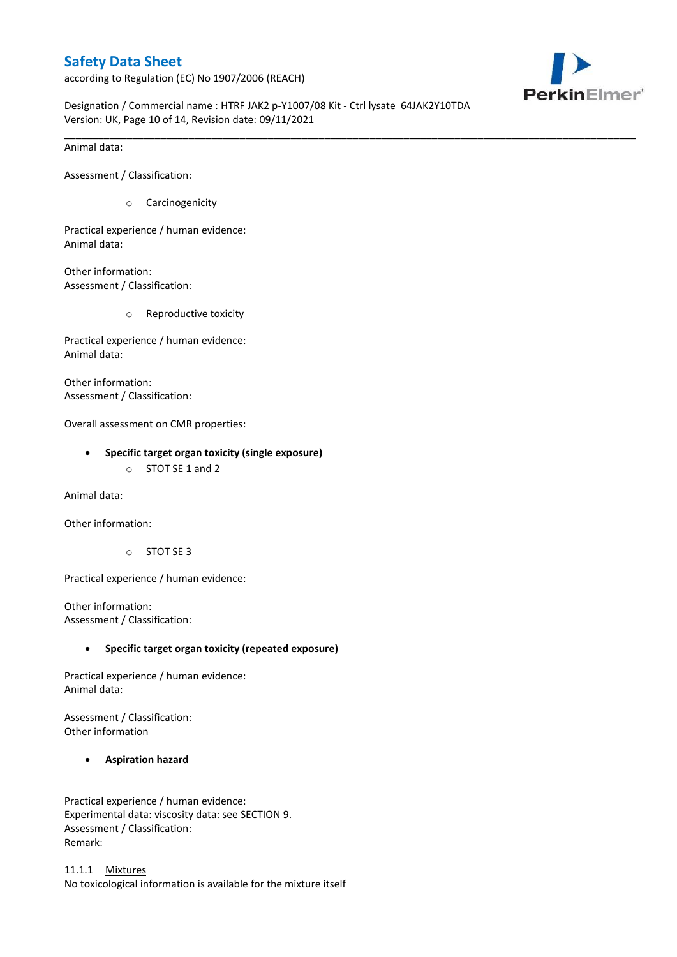according to Regulation (EC) No 1907/2006 (REACH)



Designation / Commercial name : HTRF JAK2 p-Y1007/08 Kit - Ctrl lysate 64JAK2Y10TDA Version: UK, Page 10 of 14, Revision date: 09/11/2021

\_\_\_\_\_\_\_\_\_\_\_\_\_\_\_\_\_\_\_\_\_\_\_\_\_\_\_\_\_\_\_\_\_\_\_\_\_\_\_\_\_\_\_\_\_\_\_\_\_\_\_\_\_\_\_\_\_\_\_\_\_\_\_\_\_\_\_\_\_\_\_\_\_\_\_\_\_\_\_\_\_\_\_\_\_\_\_\_\_\_\_\_\_\_\_\_\_\_\_\_\_

Animal data:

Assessment / Classification:

o Carcinogenicity

Practical experience / human evidence: Animal data:

Other information: Assessment / Classification:

o Reproductive toxicity

Practical experience / human evidence: Animal data:

Other information: Assessment / Classification:

Overall assessment on CMR properties:

- **Specific target organ toxicity (single exposure)**
	- o STOT SE 1 and 2

Animal data:

Other information:

o STOT SE 3

Practical experience / human evidence:

Other information: Assessment / Classification:

### **Specific target organ toxicity (repeated exposure)**

Practical experience / human evidence: Animal data:

Assessment / Classification: Other information

### **Aspiration hazard**

Practical experience / human evidence: Experimental data: viscosity data: see SECTION 9. Assessment / Classification: Remark:

11.1.1 Mixtures No toxicological information is available for the mixture itself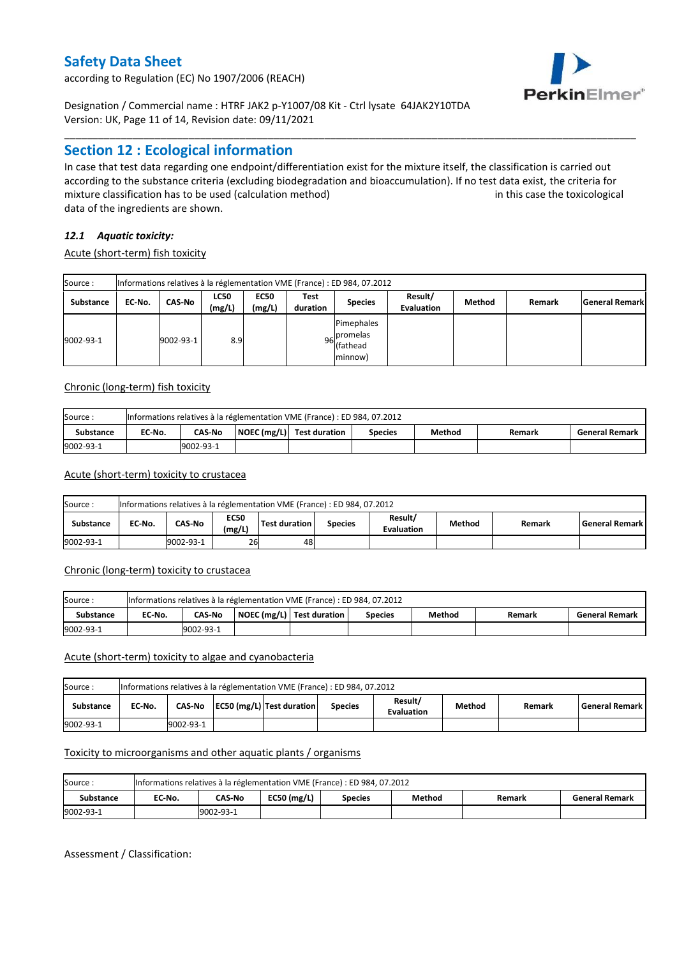according to Regulation (EC) No 1907/2006 (REACH)



Designation / Commercial name : HTRF JAK2 p-Y1007/08 Kit - Ctrl lysate 64JAK2Y10TDA Version: UK, Page 11 of 14, Revision date: 09/11/2021

### **Section 12 : Ecological information**

In case that test data regarding one endpoint/differentiation exist for the mixture itself, the classification is carried out according to the substance criteria (excluding biodegradation and bioaccumulation). If no test data exist, the criteria for mixture classification has to be used (calculation method) in this case the toxicological data of the ingredients are shown.

\_\_\_\_\_\_\_\_\_\_\_\_\_\_\_\_\_\_\_\_\_\_\_\_\_\_\_\_\_\_\_\_\_\_\_\_\_\_\_\_\_\_\_\_\_\_\_\_\_\_\_\_\_\_\_\_\_\_\_\_\_\_\_\_\_\_\_\_\_\_\_\_\_\_\_\_\_\_\_\_\_\_\_\_\_\_\_\_\_\_\_\_\_\_\_\_\_\_\_\_\_

### *12.1 Aquatic toxicity:*

Acute (short-term) fish toxicity

| Source:          |        |               |                       |                       |                  | Informations relatives à la réglementation VME (France) : ED 984, 07.2012 |                              |        |        |                       |
|------------------|--------|---------------|-----------------------|-----------------------|------------------|---------------------------------------------------------------------------|------------------------------|--------|--------|-----------------------|
| <b>Substance</b> | EC No. | <b>CAS-No</b> | <b>LC50</b><br>(mg/L) | <b>EC50</b><br>(mg/L) | Test<br>duration | <b>Species</b>                                                            | Result/<br><b>Evaluation</b> | Method | Remark | <b>General Remark</b> |
| 9002-93-1        |        | 9002-93-1     | 8.9                   |                       |                  | Pimephales<br>96 promelas<br>(fathead<br>minnow)                          |                              |        |        |                       |

### Chronic (long-term) fish toxicity

| Source:          |        |               | Informations relatives à la réglementation VME (France) : ED 984, 07.2012 |                |        |        |                       |
|------------------|--------|---------------|---------------------------------------------------------------------------|----------------|--------|--------|-----------------------|
| <b>Substance</b> | EC No. | <b>CAS-No</b> | $\vert$ NOEC (mg/L) $\vert$ Test duration                                 | <b>Species</b> | Method | Remark | <b>General Remark</b> |
| 9002-93-1        |        | 9002-93-1     |                                                                           |                |        |        |                       |

#### Acute (short-term) toxicity to crustacea

| Source:          |        |                                                                                                                                          |    | Informations relatives à la réglementation VME (France) : ED 984, 07.2012 |  |  |  |  |  |  |
|------------------|--------|------------------------------------------------------------------------------------------------------------------------------------------|----|---------------------------------------------------------------------------|--|--|--|--|--|--|
| <b>Substance</b> | EC-No. | Result/<br><b>EC50</b><br>CAS-No<br>Test duration<br>Method<br>General Remark<br>Remark<br><b>Species</b><br>(mg/L)<br><b>Evaluation</b> |    |                                                                           |  |  |  |  |  |  |
| 9002-93-1        |        | 9002-93-1                                                                                                                                | 26 | 48                                                                        |  |  |  |  |  |  |

#### Chronic (long-term) toxicity to crustacea

| Source:          |        |               | Informations relatives à la réglementation VME (France) : ED 984, 07.2012 |                |        |        |                       |
|------------------|--------|---------------|---------------------------------------------------------------------------|----------------|--------|--------|-----------------------|
| <b>Substance</b> | EC-No. | <b>CAS No</b> | NOEC (mg/L)   Test duration                                               | <b>Species</b> | Method | Remark | <b>General Remark</b> |
| 9002-93-1        |        | 9002-93-1     |                                                                           |                |        |        |                       |

#### Acute (short-term) toxicity to algae and cyanobacteria

| Source:          |        |            |                           | Informations relatives à la réglementation VME (France) : ED 984, 07.2012 |                              |               |        |                       |
|------------------|--------|------------|---------------------------|---------------------------------------------------------------------------|------------------------------|---------------|--------|-----------------------|
| <b>Substance</b> | EC No. | CAS-No     | EC50 (mg/L) Test duration | <b>Species</b>                                                            | Result/<br><b>Evaluation</b> | <b>Method</b> | Remark | <b>General Remark</b> |
| 9002-93-1        |        | 19002-93-1 |                           |                                                                           |                              |               |        |                       |

#### Toxicity to microorganisms and other aquatic plants / organisms

| Source:   | Informations relatives à la réglementation VME (France) : ED 984, 07.2012 |            |               |                |        |        |                       |  |  |  |  |  |
|-----------|---------------------------------------------------------------------------|------------|---------------|----------------|--------|--------|-----------------------|--|--|--|--|--|
| Substance | EC No.                                                                    | CAS-No     | $EC50$ (mg/L) | <b>Species</b> | Method | Remark | <b>General Remark</b> |  |  |  |  |  |
| 9002-93-1 |                                                                           | 19002-93-1 |               |                |        |        |                       |  |  |  |  |  |

Assessment / Classification: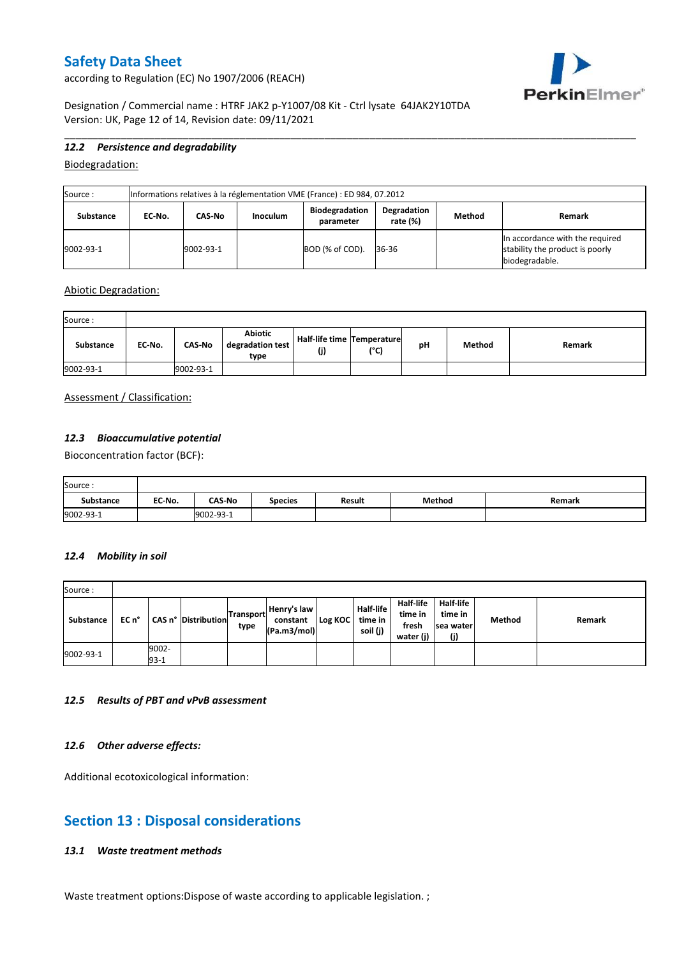according to Regulation (EC) No 1907/2006 (REACH)



Designation / Commercial name : HTRF JAK2 p-Y1007/08 Kit - Ctrl lysate 64JAK2Y10TDA Version: UK, Page 12 of 14, Revision date: 09/11/2021

### *12.2 Persistence and degradability*

Biodegradation:

| Source:   | Informations relatives à la réglementation VME (France) : ED 984, 07.2012 |           |                 |                                    |                         |        |                                                                                      |  |
|-----------|---------------------------------------------------------------------------|-----------|-----------------|------------------------------------|-------------------------|--------|--------------------------------------------------------------------------------------|--|
| Substance | EC No.                                                                    | CAS-No    | <b>Inoculum</b> | <b>Biodegradation</b><br>parameter | Degradation<br>rate (%) | Method | Remark                                                                               |  |
| 9002-93-1 |                                                                           | 9002-93-1 |                 | BOD (% of COD).                    | 36-36                   |        | In accordance with the required<br>stability the product is poorly<br>biodegradable. |  |

\_\_\_\_\_\_\_\_\_\_\_\_\_\_\_\_\_\_\_\_\_\_\_\_\_\_\_\_\_\_\_\_\_\_\_\_\_\_\_\_\_\_\_\_\_\_\_\_\_\_\_\_\_\_\_\_\_\_\_\_\_\_\_\_\_\_\_\_\_\_\_\_\_\_\_\_\_\_\_\_\_\_\_\_\_\_\_\_\_\_\_\_\_\_\_\_\_\_\_\_\_

#### Abiotic Degradation:

| Source:   |        |               |                                     |                                       |      |    |        |        |
|-----------|--------|---------------|-------------------------------------|---------------------------------------|------|----|--------|--------|
| Substance | EC-No. | <b>CAS-No</b> | Abiotic<br>degradation test<br>type | Half-life time   Temperature  <br>(j) | (°C) | рH | Method | Remark |
| 9002-93-1 |        | 9002-93-1     |                                     |                                       |      |    |        |        |

### Assessment / Classification:

# *12.3 Bioaccumulative potential*

Bioconcentration factor (BCF):

| Source:          |        |               |                |               |        |        |
|------------------|--------|---------------|----------------|---------------|--------|--------|
| <b>Substance</b> | EC-No. | <b>CAS-No</b> | <b>Species</b> | <b>Result</b> | Method | Remark |
| 9002-93-1        |        | 9002-93-1     |                |               |        |        |

### *12.4 Mobility in soil*

| Source:   |       |                 |                     |                   |                                        |                 |                              |                                                   |                                          |               |        |
|-----------|-------|-----------------|---------------------|-------------------|----------------------------------------|-----------------|------------------------------|---------------------------------------------------|------------------------------------------|---------------|--------|
| Substance | EC n° |                 | CAS n° Distribution | Transport<br>type | Henry's law<br>constant<br>(Pa.m3/mol) | Log KOC time in | <b>Half-life</b><br>soil (j) | <b>Half-life</b><br>time in<br>fresh<br>water (j) | Half-life<br>time in<br>sea water<br>(j) | <b>Method</b> | Remark |
| 9002-93-1 |       | 9002-<br>$93-1$ |                     |                   |                                        |                 |                              |                                                   |                                          |               |        |

#### *12.5 Results of PBT and vPvB assessment*

### *12.6 Other adverse effects:*

Additional ecotoxicological information:

# **Section 13 : Disposal considerations**

### *13.1 Waste treatment methods*

Waste treatment options:Dispose of waste according to applicable legislation. ;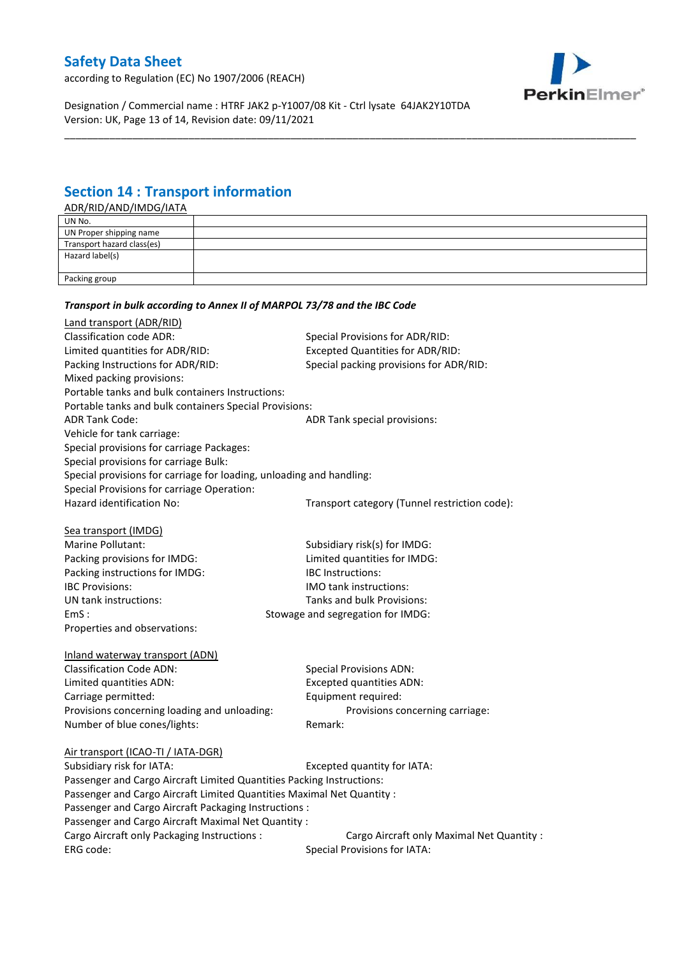according to Regulation (EC) No 1907/2006 (REACH)



Designation / Commercial name : HTRF JAK2 p-Y1007/08 Kit - Ctrl lysate 64JAK2Y10TDA Version: UK, Page 13 of 14, Revision date: 09/11/2021

*Transport in bulk according to Annex II of MARPOL 73/78 and the IBC Code*

# **Section 14 : Transport information**

ADR/RID/AND/IMDG/IATA

| UN No.                     |  |
|----------------------------|--|
| UN Proper shipping name    |  |
| Transport hazard class(es) |  |
| Hazard label(s)            |  |
|                            |  |
| Packing group              |  |
|                            |  |

\_\_\_\_\_\_\_\_\_\_\_\_\_\_\_\_\_\_\_\_\_\_\_\_\_\_\_\_\_\_\_\_\_\_\_\_\_\_\_\_\_\_\_\_\_\_\_\_\_\_\_\_\_\_\_\_\_\_\_\_\_\_\_\_\_\_\_\_\_\_\_\_\_\_\_\_\_\_\_\_\_\_\_\_\_\_\_\_\_\_\_\_\_\_\_\_\_\_\_\_\_

| Land transport (ADR/RID)                                               |                                                          |
|------------------------------------------------------------------------|----------------------------------------------------------|
| <b>Classification code ADR:</b>                                        | Special Provisions for ADR/RID:                          |
| Limited quantities for ADR/RID:                                        | <b>Excepted Quantities for ADR/RID:</b>                  |
| Packing Instructions for ADR/RID:                                      | Special packing provisions for ADR/RID:                  |
| Mixed packing provisions:                                              |                                                          |
| Portable tanks and bulk containers Instructions:                       |                                                          |
| Portable tanks and bulk containers Special Provisions:                 |                                                          |
| <b>ADR Tank Code:</b>                                                  | ADR Tank special provisions:                             |
| Vehicle for tank carriage:                                             |                                                          |
| Special provisions for carriage Packages:                              |                                                          |
| Special provisions for carriage Bulk:                                  |                                                          |
| Special provisions for carriage for loading, unloading and handling:   |                                                          |
| Special Provisions for carriage Operation:                             |                                                          |
| Hazard identification No:                                              | Transport category (Tunnel restriction code):            |
|                                                                        |                                                          |
| Sea transport (IMDG)<br><b>Marine Pollutant:</b>                       |                                                          |
|                                                                        | Subsidiary risk(s) for IMDG:                             |
| Packing provisions for IMDG:                                           | Limited quantities for IMDG:<br><b>IBC Instructions:</b> |
| Packing instructions for IMDG:                                         |                                                          |
| <b>IBC Provisions:</b>                                                 | <b>IMO tank instructions:</b>                            |
| UN tank instructions:                                                  | Tanks and bulk Provisions:                               |
| EmS:                                                                   | Stowage and segregation for IMDG:                        |
| Properties and observations:                                           |                                                          |
| Inland waterway transport (ADN)                                        |                                                          |
| <b>Classification Code ADN:</b>                                        | <b>Special Provisions ADN:</b>                           |
| Limited quantities ADN:                                                | <b>Excepted quantities ADN:</b>                          |
| Carriage permitted:                                                    | Equipment required:                                      |
| Provisions concerning loading and unloading:                           | Provisions concerning carriage:                          |
| Number of blue cones/lights:                                           | Remark:                                                  |
| Air transport (ICAO-TI / IATA-DGR)                                     |                                                          |
| Subsidiary risk for IATA:                                              | Excepted quantity for IATA:                              |
| Passenger and Cargo Aircraft Limited Quantities Packing Instructions:  |                                                          |
| Passenger and Cargo Aircraft Limited Quantities Maximal Net Quantity : |                                                          |
| Passenger and Cargo Aircraft Packaging Instructions :                  |                                                          |
| Passenger and Cargo Aircraft Maximal Net Quantity :                    |                                                          |
| Cargo Aircraft only Packaging Instructions :                           | Cargo Aircraft only Maximal Net Quantity :               |
| ERG code:                                                              | <b>Special Provisions for IATA:</b>                      |
|                                                                        |                                                          |
|                                                                        |                                                          |